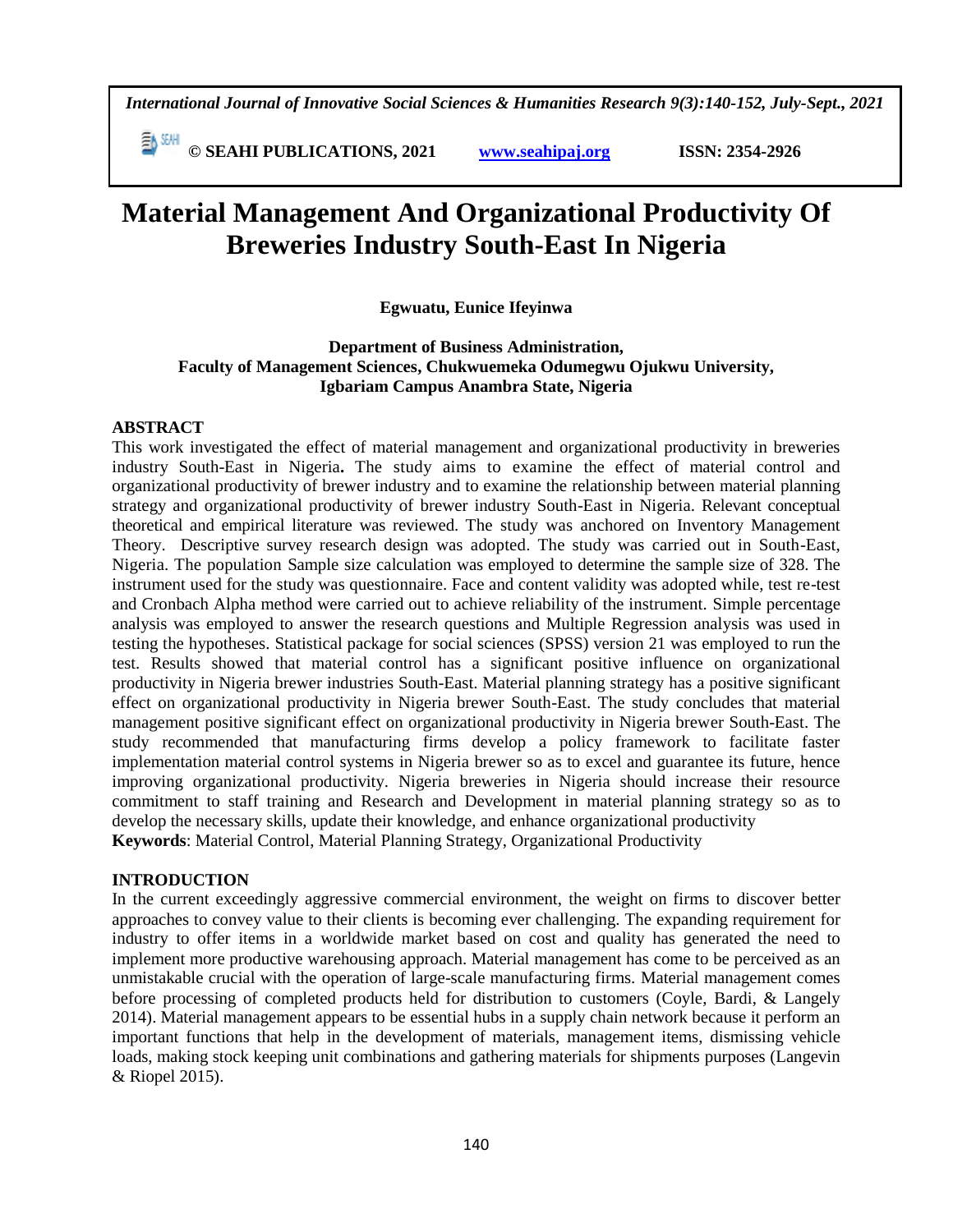*International Journal of Innovative Social Sciences & Humanities Research 9(3):140-152, July-Sept., 2021*

 **© SEAHI PUBLICATIONS, 2021 [www.seahipaj.org](http://www.seahipaj.org/) ISSN: 2354-2926** 

# **Material Management And Organizational Productivity Of Breweries Industry South-East In Nigeria**

# **Egwuatu, Eunice Ifeyinwa**

# **Department of Business Administration, Faculty of Management Sciences, Chukwuemeka Odumegwu Ojukwu University, Igbariam Campus Anambra State, Nigeria**

# **ABSTRACT**

This work investigated the effect of material management and organizational productivity in breweries industry South-East in Nigeria**.** The study aims to examine the effect of material control and organizational productivity of brewer industry and to examine the relationship between material planning strategy and organizational productivity of brewer industry South-East in Nigeria. Relevant conceptual theoretical and empirical literature was reviewed. The study was anchored on Inventory Management Theory. Descriptive survey research design was adopted. The study was carried out in South-East, Nigeria. The population Sample size calculation was employed to determine the sample size of 328. The instrument used for the study was questionnaire. Face and content validity was adopted while, test re-test and Cronbach Alpha method were carried out to achieve reliability of the instrument. Simple percentage analysis was employed to answer the research questions and Multiple Regression analysis was used in testing the hypotheses. Statistical package for social sciences (SPSS) version 21 was employed to run the test. Results showed that material control has a significant positive influence on organizational productivity in Nigeria brewer industries South-East. Material planning strategy has a positive significant effect on organizational productivity in Nigeria brewer South-East. The study concludes that material management positive significant effect on organizational productivity in Nigeria brewer South-East. The study recommended that manufacturing firms develop a policy framework to facilitate faster implementation material control systems in Nigeria brewer so as to excel and guarantee its future, hence improving organizational productivity. Nigeria breweries in Nigeria should increase their resource commitment to staff training and Research and Development in material planning strategy so as to develop the necessary skills, update their knowledge, and enhance organizational productivity **Keywords**: Material Control, Material Planning Strategy, Organizational Productivity

# **INTRODUCTION**

In the current exceedingly aggressive commercial environment, the weight on firms to discover better approaches to convey value to their clients is becoming ever challenging. The expanding requirement for industry to offer items in a worldwide market based on cost and quality has generated the need to implement more productive warehousing approach. Material management has come to be perceived as an unmistakable crucial with the operation of large-scale manufacturing firms. Material management comes before processing of completed products held for distribution to customers (Coyle, Bardi, & Langely 2014). Material management appears to be essential hubs in a supply chain network because it perform an important functions that help in the development of materials, management items, dismissing vehicle loads, making stock keeping unit combinations and gathering materials for shipments purposes (Langevin & Riopel 2015).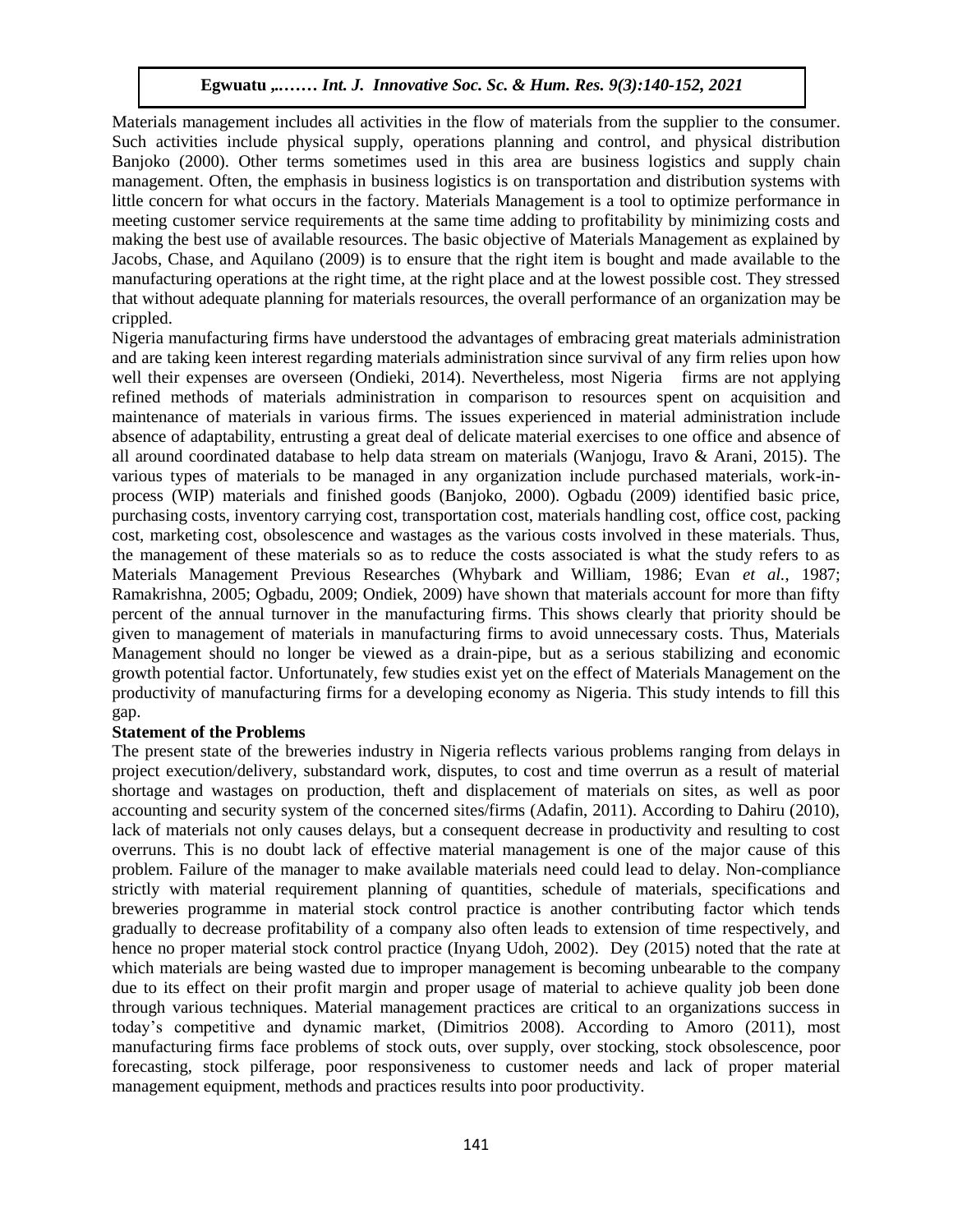Materials management includes all activities in the flow of materials from the supplier to the consumer. Such activities include physical supply, operations planning and control, and physical distribution Banjoko (2000). Other terms sometimes used in this area are business logistics and supply chain Banjoko (2000). management. Often, the emphasis in business logistics is on transportation and distribution systems with little concern for what occurs in the factory. Materials Management is a tool to optimize performance in meeting customer service requirements at the same time adding to profitability by minimizing costs and making the best use of available resources. The basic objective of Materials Management as explained by Jacobs, Chase, and Aquilano (2009) is to ensure that the right item is bought and made available to the manufacturing operations at the right time, at the right place and at the lowest possible cost. They stressed that without adequate planning for materials resources, the overall performance of an organization may be crippled.

Nigeria manufacturing firms have understood the advantages of embracing great materials administration and are taking keen interest regarding materials administration since survival of any firm relies upon how well their expenses are overseen (Ondieki, 2014). Nevertheless, most Nigeria firms are not applying refined methods of materials administration in comparison to resources spent on acquisition and maintenance of materials in various firms. The issues experienced in material administration include absence of adaptability, entrusting a great deal of delicate material exercises to one office and absence of all around coordinated database to help data stream on materials (Wanjogu, Iravo & Arani, 2015). The various types of materials to be managed in any organization include purchased materials, work-inprocess (WIP) materials and finished goods (Banjoko, 2000). Ogbadu (2009) identified basic price, process (wir) materials and infished goods (Banjoko, 2000). Ogbadu (2009) identified basic price, purchasing costs, inventory carrying cost, transportation cost, materials handling cost, office cost, packing cost, marketing cost, obsolescence and wastages as the various costs involved in these materials. Thus, the management of these materials so as to reduce the costs associated is what the study refers to as Materials Management Previous Researches (Whybark and William, 1986; Evan et al., 1987; Ramakrishna, 2005; Ogbadu, 2009; Ondiek, 2009) have shown that materials account for more than fifty percent of the annual turnover in the manufacturing firms. This shows clearly that priority should be given to management of materials in manufacturing firms to avoid unnecessary costs. Thus, Materials Management should no longer be viewed as a drain-pipe, but as a serious stabilizing and economic growth potential factor. Unfortunately, few studies exist yet on the effect of Materials Management on the productivity of manufacturing firms for a developing economy as Nigeria. This study intends to fill this gap.

#### **Statement of the Problems**

The present state of the breweries industry in Nigeria reflects various problems ranging from delays in project execution/delivery, substandard work, disputes, to cost and time overrun as a result of material shortage and wastages on production, theft and displacement of materials on sites, as well as poor accounting and security system of the concerned sites/firms (Adafin, 2011). According to Dahiru (2010), lack of materials not only causes delays, but a consequent decrease in productivity and resulting to cost overruns. This is no doubt lack of effective material management is one of the major cause of this problem. Failure of the manager to make available materials need could lead to delay. Non-compliance strictly with material requirement planning of quantities, schedule of materials, specifications and breweries programme in material stock control practice is another contributing factor which tends gradually to decrease profitability of a company also often leads to extension of time respectively, and hence no proper material stock control practice (Inyang Udoh, 2002). Dey (2015) noted that the rate at which materials are being wasted due to improper management is becoming unbearable to the company due to its effect on their profit margin and proper usage of material to achieve quality job been done through various techniques. Material management practices are critical to an organizations success in today's competitive and dynamic market, (Dimitrios 2008). According to Amoro (2011), most manufacturing firms face problems of stock outs, over supply, over stocking, stock obsolescence, poor forecasting, stock pilferage, poor responsiveness to customer needs and lack of proper material management equipment, methods and practices results into poor productivity.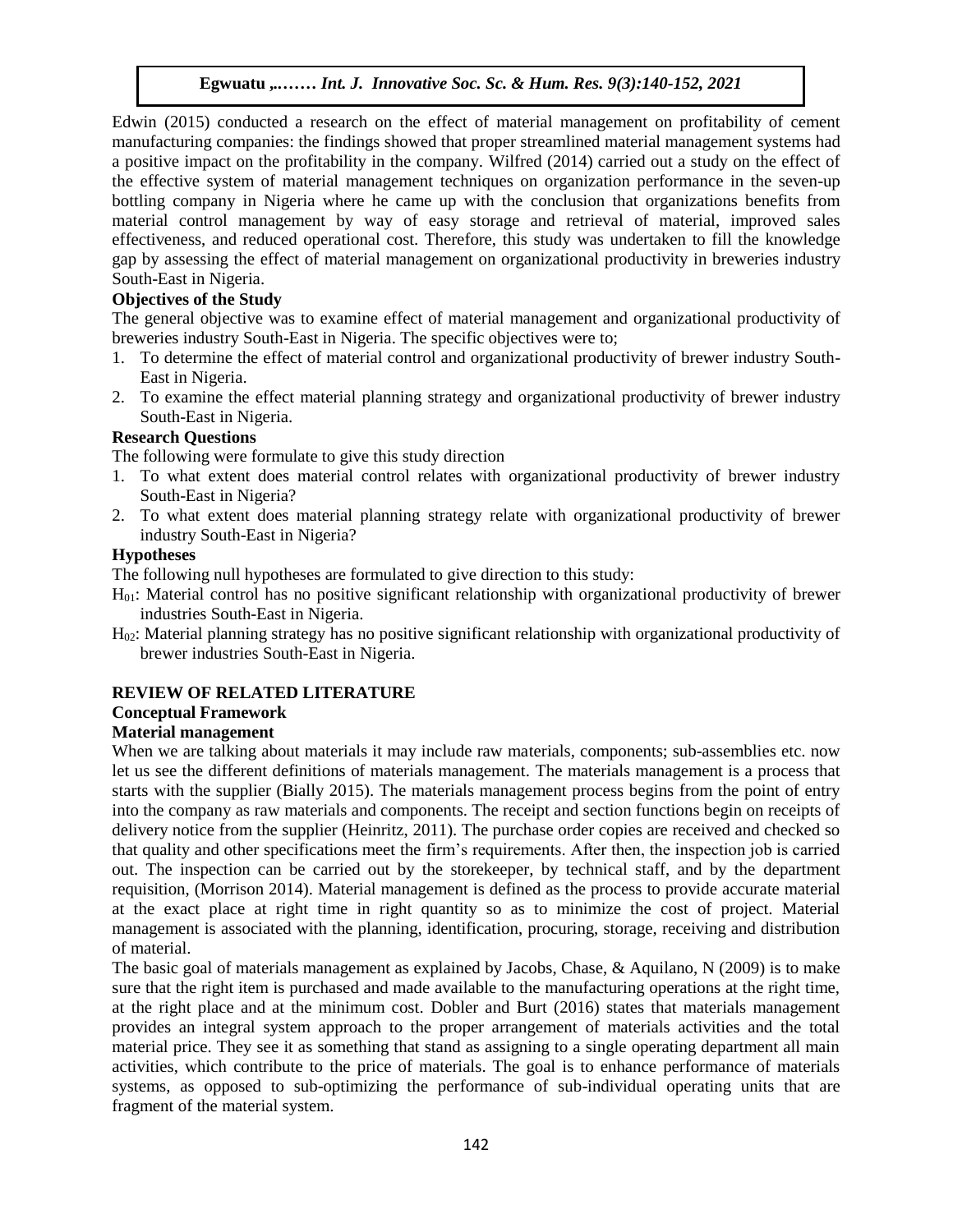Edwin (2015) conducted a research on the effect of material management on profitability of cement manufacturing companies: the findings showed that proper streamlined material management systems had a positive impact on the profitability in the company. Wilfred (2014) carried out a study on the effect of the effective system of material management techniques on organization performance in the seven-up bottling company in Nigeria where he came up with the conclusion that organizations benefits from material control management by way of easy storage and retrieval of material, improved sales effectiveness, and reduced operational cost. Therefore, this study was undertaken to fill the knowledge gap by assessing the effect of material management on organizational productivity in breweries industry South-East in Nigeria.

# **Objectives of the Study**

The general objective was to examine effect of material management and organizational productivity of breweries industry South-East in Nigeria. The specific objectives were to;

- 1. To determine the effect of material control and organizational productivity of brewer industry South-East in Nigeria.
- 2. To examine the effect material planning strategy and organizational productivity of brewer industry South-East in Nigeria.

# **Research Questions**

The following were formulate to give this study direction

- 1. To what extent does material control relates with organizational productivity of brewer industry South-East in Nigeria?
- South-East in Nigeria!<br>2. To what extent does material planning strategy relate with organizational productivity of brewer industry South-East in Nigeria?

# **Hypotheses**

The following null hypotheses are formulated to give direction to this study:

- H01: Material control has no positive significant relationship with organizational productivity of brewer industries South-East in Nigeria.
- H<sub>02</sub>: Material planning strategy has no positive significant relationship with organizational productivity of brewer industries South-East in Nigeria.

# **REVIEW OF RELATED LITERATURE**

# **Conceptual Framework**

# **Material management**

When we are talking about materials it may include raw materials, components; sub-assemblies etc. now let us see the different definitions of materials management. The materials management is a process that starts with the supplier (Bially 2015). The materials management process begins from the point of entry into the company as raw materials and components. The receipt and section functions begin on receipts of delivery notice from the supplier (Heinritz, 2011). The purchase order copies are received and checked so that quality and other specifications meet the firm's requirements. After then, the inspection job is carried out. The inspection can be carried out by the storekeeper, by technical staff, and by the department requisition, (Morrison 2014). Material management is defined as the process to provide accurate material at the exact place at right time in right quantity so as to minimize the cost of project. Material management is associated with the planning, identification, procuring, storage, receiving and distribution of material.

The basic goal of materials management as explained by Jacobs, Chase, & Aquilano, N (2009) is to make sure that the right item is purchased and made available to the manufacturing operations at the right time, at the right place and at the minimum cost. Dobler and Burt (2016) states that materials management provides an integral system approach to the proper arrangement of materials activities and the total material price. They see it as something that stand as assigning to a single operating department all main activities, which contribute to the price of materials. The goal is to enhance performance of materials systems, as opposed to sub-optimizing the performance of sub-individual operating units that are fragment of the material system.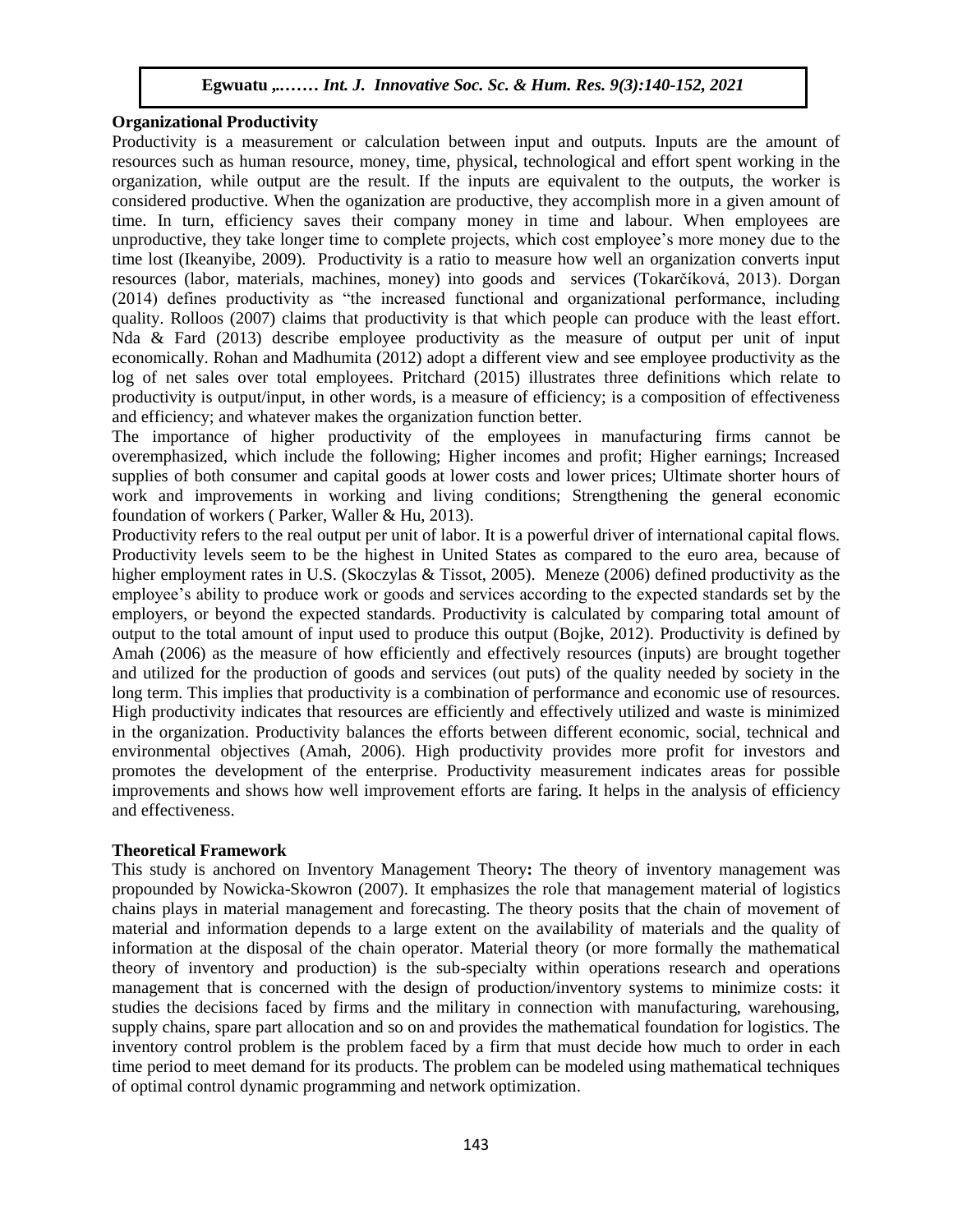#### **Organizational Productivity**

Productivity is a measurement or calculation between input and outputs. Inputs are the amount of resources such as human resource, money, time, physical, technological and effort spent working in the resources organization, while output are the result. If the inputs are equivalent to the outputs, the worker is considered productive. When the oganization are productive, they accomplish more in a given amount of time. In turn, efficiency saves their company money in time and labour. When employees are unproductive, they take longer time to complete projects, which cost employee's more money due to the time lost (Ikeanyibe, 2009). Productivity is a ratio to measure how well an organization converts input resources (labor, materials, machines, money) into goods and services (Tokarčíková, 2013). Dorgan (2014) defines productivity as "the increased functional and organizational performance, including quality. Rolloos (2007) claims that productivity is that which people can produce with the least effort. Nda & Fard (2013) describe employee productivity as the measure of output per unit of input economically. Rohan and Madhumita (2012) adopt a different view and see employee productivity as the log of net sales over total employees. Pritchard (2015) illustrates three definitions which relate to productivity is output/input, in other words, is a measure of efficiency; is a composition of effectiveness and efficiency; and whatever makes the organization function better.

The importance of higher productivity of the employees in manufacturing firms cannot be overemphasized, which include the following; Higher incomes and profit; Higher earnings; Increased supplies of both consumer and capital goods at lower costs and lower prices; Ultimate shorter hours of work and improvements in working and living conditions; Strengthening the general economic function of modern (Declare Weller 6, Hum. 2012). foundation of workers ( Parker, Waller & Hu, 2013).

Productivity refers to the real output per unit of labor. It is a powerful driver of international capital flows. Productivity levels seem to be the highest in United States as compared to the euro area, because of higher employment rates in U.S. (Skoczylas & Tissot, 2005). Meneze (2006) defined productivity as the employee's ability to produce work or goods and services according to the expected standards set by the employers, or beyond the expected standards. Productivity is calculated by comparing total amount of output to the total amount of input used to produce this output (Bojke, 2012). Productivity is defined by Amah (2006) as the measure of how efficiently and effectively resources (inputs) are brought together and utilized for the production of goods and services (out puts) of the quality needed by society in the long term. This implies that productivity is a combination of performance and economic use of resources. High productivity indicates that resources are efficiently and effectively utilized and waste is minimized in the organization. Productivity balances the efforts between different economic, social, technical and environmental objectives (Amah, 2006). High productivity provides more profit for investors and promotes the development of the enterprise. Productivity measurement indicates areas for possible improvements and shows how well improvement efforts are faring. It helps in the analysis of efficiency and effectiveness.

#### **Theoretical Framework**

This study is anchored on Inventory Management Theory**:** The theory of inventory management was propounded by Nowicka-Skowron (2007). It emphasizes the role that management material of logistics chains plays in material management and forecasting. The theory posits that the chain of movement of material and information depends to a large extent on the availability of materials and the quality of information at the disposal of the chain operator. Material theory (or more formally the mathematical theory of inventory and production) is the sub-specialty within operations research and operations management that is concerned with the design of production/inventory systems to minimize costs: it studies the decisions faced by firms and the military in connection with manufacturing, warehousing, supply chains, spare part allocation and so on and provides the mathematical foundation for logistics. The inventory control problem is the problem faced by a firm that must decide how much to order in each time period to meet demand for its products. The problem can be modeled using mathematical techniques of optimal control dynamic programming and network optimization.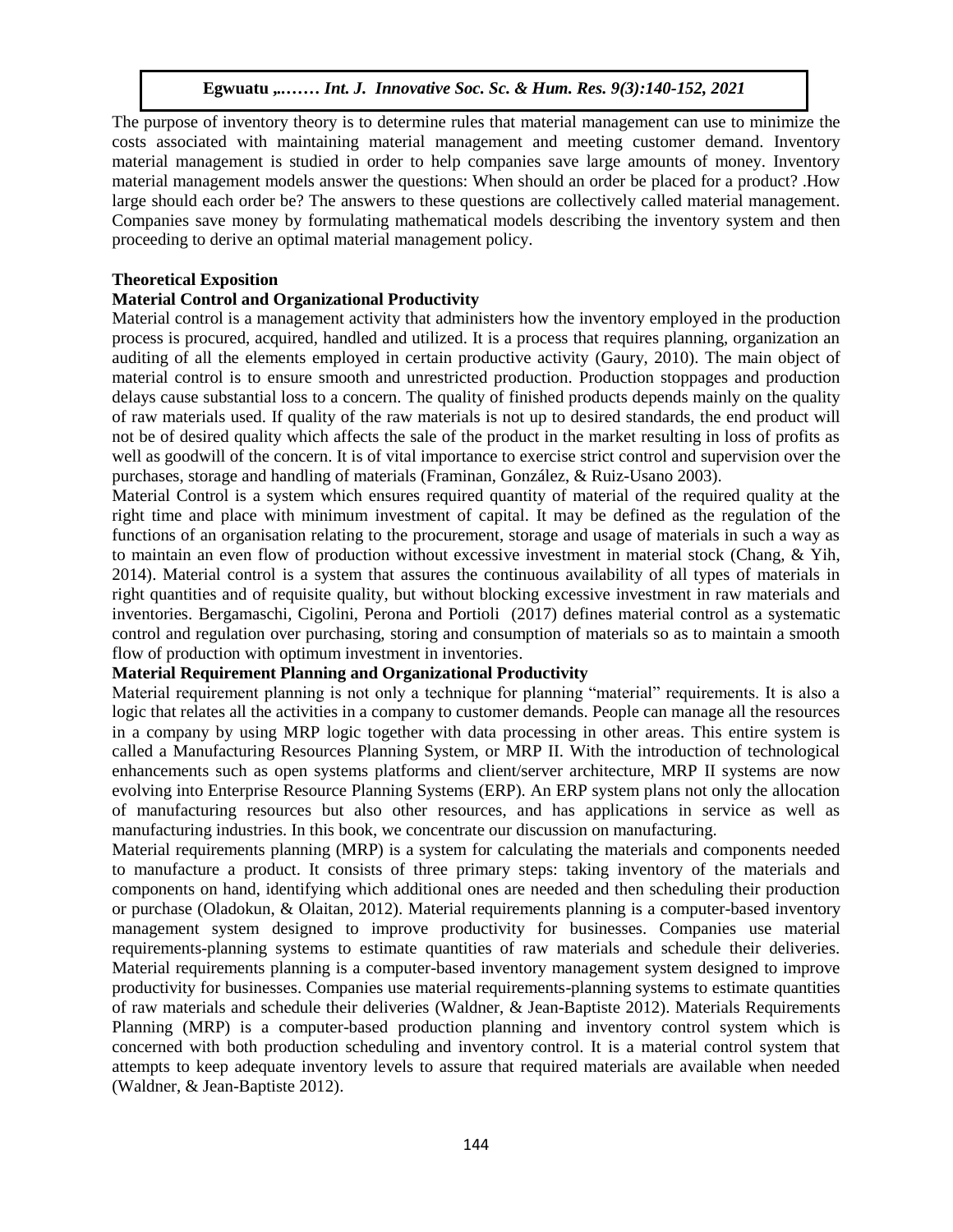The purpose of inventory theory is to determine rules that material management can use to minimize the costs associated with maintaining material management and meeting customer demand. Inventory material management is studied in order to help companies save large amounts of money. Inventory material management models answer the questions: When should an order be placed for a product? .How large should each order be? The answers to these questions are collectively called material management. Companies save money by formulating mathematical models describing the inventory system and then proceeding to derive an optimal material management policy.

# **Theoretical Exposition**

# **Material Control and Organizational Productivity**

Material control is a management activity that administers how the inventory employed in the production process is procured, acquired, handled and utilized. It is a process that requires planning, organization an auditing of all the elements employed in certain productive activity (Gaury, 2010). The main object of additing of an the elements employed in certain productive activity (Gaury, 2010). The main object of material control is to ensure smooth and unrestricted production. Production stoppages and production delays cause substantial loss to a concern. The quality of finished products depends mainly on the quality of raw materials used. If quality of the raw materials is not up to desired standards, the end product will not be of desired quality which affects the sale of the product in the market resulting in loss of profits as well as goodwill of the concern. It is of vital importance to exercise strict control and supervision over the purchases, storage and handling of materials (Framinan, González, & Ruiz-Usano 2003).

Material Control is a system which ensures required quantity of material of the required quality at the right time and place with minimum investment of capital. It may be defined as the regulation of the right time and place with minimum investment of capital. It may be defined as the regulation of the functions of an organisation relating to the procurement, storage and usage of materials in such a way as to maintain an even flow of production without excessive investment in material stock (Chang, & Yih, 2014). Material control is a system that assures the continuous availability of all types of materials in right quantities and of requisite quality, but without blocking excessive investment in raw materials and inventories. Bergamaschi, Cigolini, Perona and Portioli (2017) defines material control as a systematic control and regulation over purchasing, storing and consumption of materials so as to maintain a smooth flow of production with optimum investment in inventories.

# **Material Requirement Planning and Organizational Productivity**

Material requirement planning is not only a technique for planning "material" requirements. It is also a logic that relates all the activities in a company to customer demands. People can manage all the resources in a company by using MRP logic together with data processing in other areas. This entire system is called a Manufacturing Resources Planning System, or MRP II. With the introduction of technological enhancements such as open systems platforms and client/server architecture, MRP II systems are now evolving into Enterprise Resource Planning Systems (ERP). An ERP system plans not only the allocation of manufacturing resources but also other resources, and has applications in service as well as manufacturing industries. In this book, we concentrate our discussion on manufacturing.

Material requirements planning (MRP) is a system for calculating the materials and components needed to manufacture a product. It consists of three primary steps: taking inventory of the materials and components on hand, identifying which additional ones are needed and then scheduling their production or purchase (Oladokun, & Olaitan, 2012). Material requirements planning is a computer-based inventory management system designed to improve productivity for businesses. Companies use material requirements-planning systems to estimate quantities of raw materials and schedule their deliveries. Material requirements planning is a computer-based inventory management system designed to improve productivity for businesses. Companies use material requirements-planning systems to estimate quantities of raw materials and schedule their deliveries (Waldner, & Jean-Baptiste 2012). Materials Requirements Planning (MRP) is a computer-based production planning and inventory control system which is concerned with both production scheduling and inventory control. It is a material control system that attempts to keep adequate inventory levels to assure that required materials are available when needed (Waldner, & Jean-Baptiste 2012).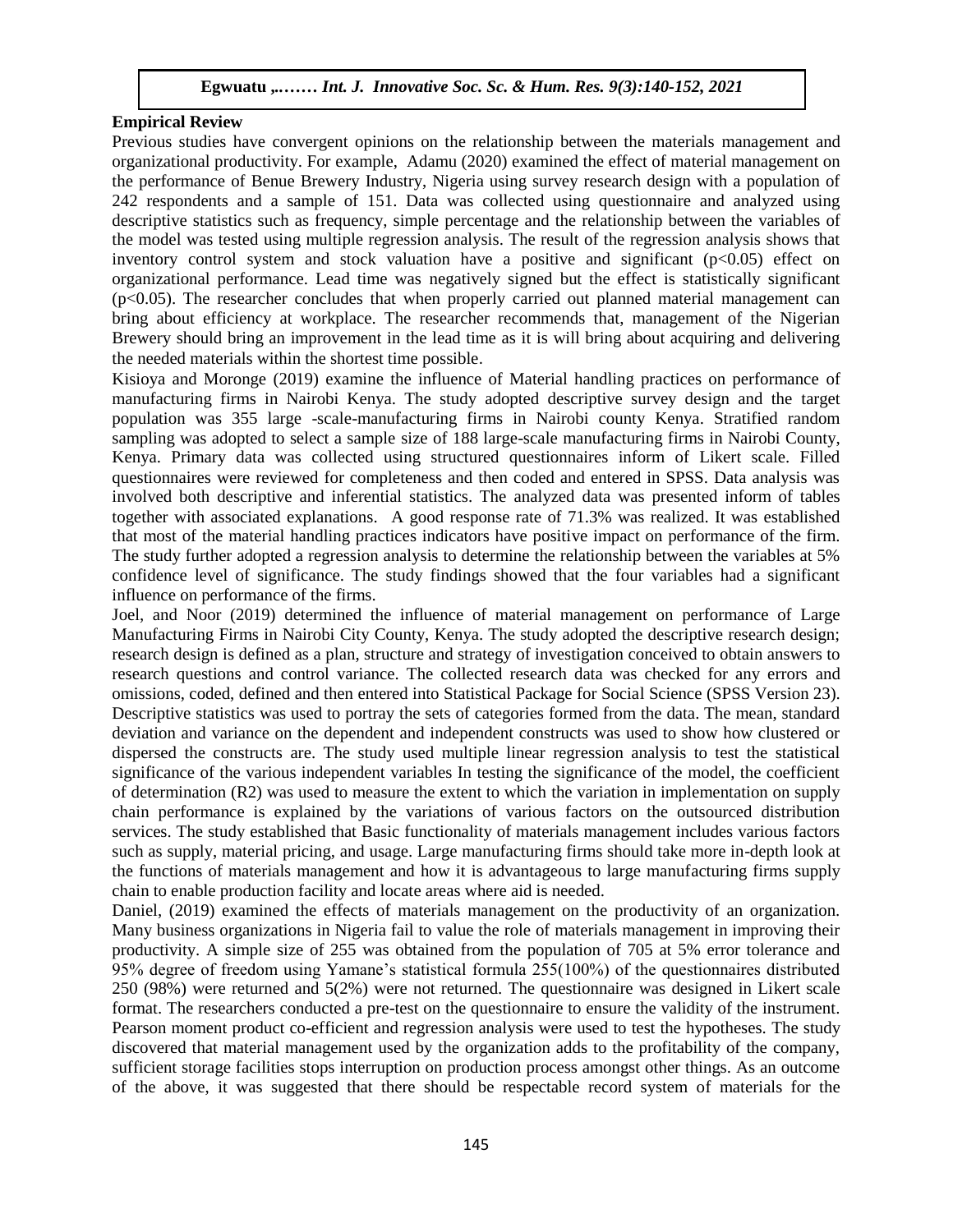#### **Empirical Review**

Previous studies have convergent opinions on the relationship between the materials management and organizational productivity. For example, Adamu (2020) examined the effect of material management on the performance of Benue Brewery Industry, Nigeria using survey research design with a population of 242 respondents and a sample of 151. Data was collected using questionnaire and analyzed using descriptive statistics such as frequency, simple percentage and the relationship between the variables of the model was tested using multiple regression analysis. The result of the regression analysis shows that inventory control system and stock valuation have a positive and significant  $(p<0.05)$  effect on organizational performance. Lead time was negatively signed but the effect is statistically significant  $(p<0.05)$ . The researcher concludes that when properly carried out planned material management can bring about efficiency at workplace. The researcher recommends that, management of the Nigerian Brewery should bring an improvement in the lead time as it is will bring about acquiring and delivering the needed materials within the shortest time possible.

the needed materials within the shortest time possible.<br>Kisioya and Moronge (2019) examine the influence of Material handling practices on performance of manufacturing firms in Nairobi Kenya. The study adopted descriptive survey design and the target population was 355 large -scale-manufacturing firms in Nairobi county Kenya. Stratified random sampling was adopted to select a sample size of 188 large-scale manufacturing firms in Nairobi County, Kenya. Primary data was collected using structured questionnaires inform of Likert scale. Filled questionnaires were reviewed for completeness and then coded and entered in SPSS. Data analysis was involved both descriptive and inferential statistics. The analyzed data was presented inform of tables myorved both descriptive and interential statistics. The analyzed data was presented inform of tables together with associated explanations. A good response rate of 71.3% was realized. It was established that most of the material handling practices indicators have positive impact on performance of the firm. The study further adopted a regression analysis to determine the relationship between the variables at 5% confidence level of significance. The study findings showed that the four variables had a significant influence on performance of the firms.

Joel, and Noor (2019) determined the influence of material management on performance of Large Manufacturing Firms in Nairobi City County, Kenya. The study adopted the descriptive research design; research design is defined as a plan, structure and strategy of investigation conceived to obtain answers to research questions and control variance. The collected research data was checked for any errors and omissions, coded, defined and then entered into Statistical Package for Social Science (SPSS Version 23). Descriptive statistics was used to portray the sets of categories formed from the data. The mean, standard deviation and variance on the dependent and independent constructs was used to show how clustered or dispersed the constructs are. The study used multiple linear regression analysis to test the statistical significance of the various independent variables In testing the significance of the model, the coefficient of determination (R2) was used to measure the extent to which the variation in implementation on supply chain performance is explained by the variations of various factors on the outsourced distribution services. The study established that Basic functionality of materials management includes various factors such as supply, material pricing, and usage. Large manufacturing firms should take more in-depth look at the functions of materials management and how it is advantageous to large manufacturing firms supply chain to enable production facility and locate areas where aid is needed.

Daniel, (2019) examined the effects of materials management on the productivity of an organization. Many business organizations in Nigeria fail to value the role of materials management in improving their productivity. A simple size of 255 was obtained from the population of 705 at 5% error tolerance and 95% degree of freedom using Yamane's statistical formula 255(100%) of the questionnaires distributed 250 (98%) were returned and 5(2%) were not returned. The questionnaire was designed in Likert scale format. The researchers conducted a pre-test on the questionnaire to ensure the validity of the instrument. Pearson moment product co-efficient and regression analysis were used to test the hypotheses. The study discovered that material management used by the organization adds to the profitability of the company, sufficient storage facilities stops interruption on production process amongst other things. As an outcome of the above, it was suggested that there should be respectable record system of materials for the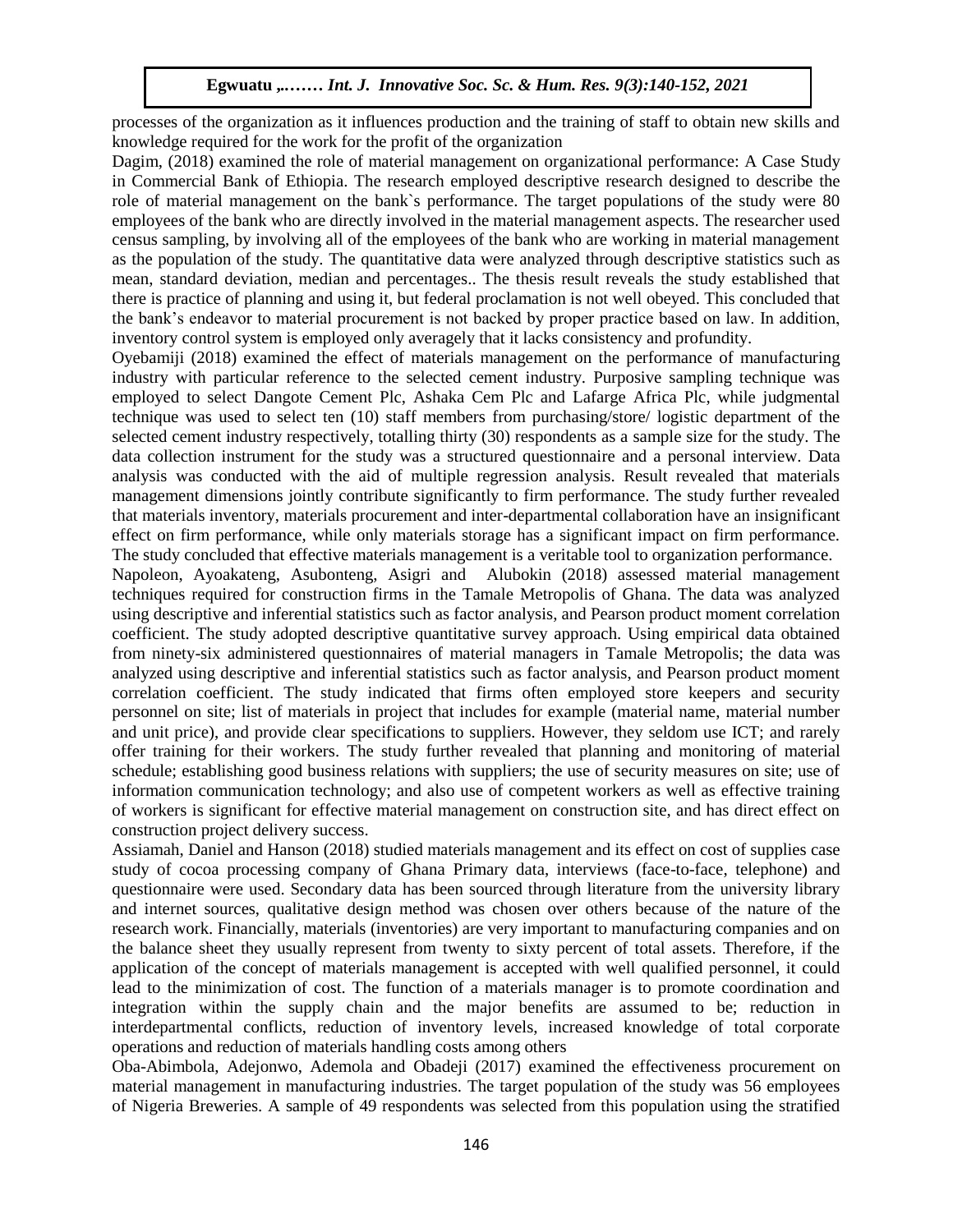processes of the organization as it influences production and the training of staff to obtain new skills and knowledge required for the work for the profit of the organization

mate through required for the work for the profit of the organizations. in Commercial Bank of Ethiopia. The research employed descriptive research designed to describe the role of material management on the bank`s performance. The target populations of the study were 80 employees of the bank who are directly involved in the material management aspects. The researcher used census sampling, by involving all of the employees of the bank who are working in material management as the population of the study. The quantitative data were analyzed through descriptive statistics such as mean, standard deviation, median and percentages.. The thesis result reveals the study established that there is practice of planning and using it, but federal proclamation is not well obeyed. This concluded that the bank's endeavor to material procurement is not backed by proper practice based on law. In addition, inventory control system is employed only averagely that it lacks consistency and profundity.

Oyebamiji (2018) examined the effect of materials management on the performance of manufacturing industry with particular reference to the selected cement industry. Purposive sampling technique was employed to select Dangote Cement Plc, Ashaka Cem Plc and Lafarge Africa Plc, while judgmental technique was used to select ten (10) staff members from purchasing/store/ logistic department of the selected cement industry respectively, totalling thirty (30) respondents as a sample size for the study. The data collection instrument for the study was a structured questionnaire and a personal interview. Data analysis was conducted with the aid of multiple regression analysis. Result revealed that materials management dimensions jointly contribute significantly to firm performance. The study further revealed management unnensions jointly contribute significantly to film performance. The study further revealed<br>that materials inventory, materials procurement and inter-departmental collaboration have an insignificant effect on firm performance, while only materials storage has a significant impact on firm performance. The study concluded that effective materials management is a veritable tool to organization performance.

Napoleon, Ayoakateng, Asubonteng, Asigri and Alubokin (2018) assessed material management techniques required for construction firms in the Tamale Metropolis of Ghana. The data was analyzed using descriptive and inferential statistics such as factor analysis, and Pearson product moment correlation coefficient. The study adopted descriptive quantitative survey approach. Using empirical data obtained from ninety-six administered questionnaires of material managers in Tamale Metropolis; the data was analyzed using descriptive and inferential statistics such as factor analysis, and Pearson product moment correlation coefficient. The study indicated that firms often employed store keepers and security personnel on site; list of materials in project that includes for example (material name, material number and unit price), and provide clear specifications to suppliers. However, they seldom use ICT; and rarely offer training for their workers. The study further revealed that planning and monitoring of material schedule; establishing good business relations with suppliers; the use of security measures on site; use of information communication technology; and also use of competent workers as well as effective training of workers is significant for effective material management on construction site, and has direct effect on construction project delivery success.

Assiamah, Daniel and Hanson (2018) studied materials management and its effect on cost of supplies case study of cocoa processing company of Ghana Primary data, interviews (face-to-face, telephone) and questionnaire were used. Secondary data has been sourced through literature from the university library and internet sources, qualitative design method was chosen over others because of the nature of the research work. Financially, materials (inventories) are very important to manufacturing companies and on the balance sheet they usually represent from twenty to sixty percent of total assets. Therefore, if the application of the concept of materials management is accepted with well qualified personnel, it could lead to the minimization of cost. The function of a materials manager is to promote coordination and integration within the supply chain and the major benefits are assumed to be; reduction in interdepartmental conflicts, reduction of inventory levels, increased knowledge of total corporate operations and reduction of materials handling costs among others

Oba-Abimbola, Adejonwo, Ademola and Obadeji (2017) examined the effectiveness procurement on material management in manufacturing industries. The target population of the study was 56 employees of Nigeria Breweries. A sample of 49 respondents was selected from this population using the stratified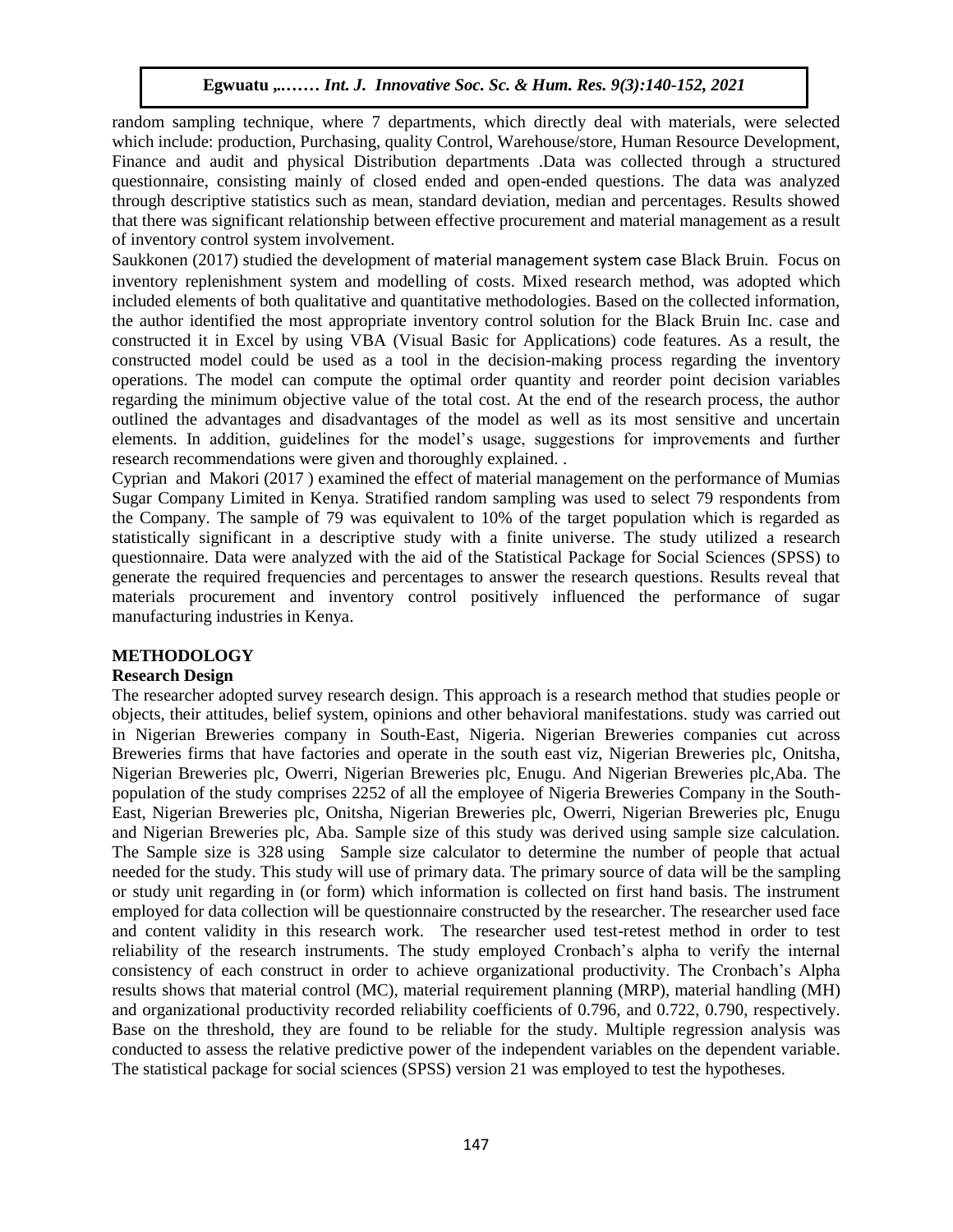random sampling technique, where 7 departments, which directly deal with materials, were selected which include: production, Purchasing, quality Control, Warehouse/store, Human Resource Development, Finance and audit and physical Distribution departments .Data was collected through a structured questionnaire, consisting mainly of closed ended and open-ended questions. The data was analyzed through descriptive statistics such as mean, standard deviation, median and percentages. Results showed that there was significant relationship between effective procurement and material management as a result of inventory control system involvement.

Saukkonen (2017) studied the development of material management system case Black Bruin. Focus on inventory replenishment system and modelling of costs. Mixed research method, was adopted which included elements of both qualitative and quantitative methodologies. Based on the collected information, the author identified the most appropriate inventory control solution for the Black Bruin Inc. case and constructed it in Excel by using VBA (Visual Basic for Applications) code features. As a result, the constructed model could be used as a tool in the decision-making process regarding the inventory operations. The model can compute the optimal order quantity and reorder point decision variables regarding the minimum objective value of the total cost. At the end of the research process, the author outlined the advantages and disadvantages of the model as well as its most sensitive and uncertain elements. In addition, guidelines for the model's usage, suggestions for improvements and further research recommendations were given and thoroughly explained. .

Cyprian and Makori (2017 ) examined the effect of material management on the performance of Mumias Sugar Company Limited in Kenya. Stratified random sampling was used to select 79 respondents from the Company. The sample of 79 was equivalent to 10% of the target population which is regarded as statistically significant in a descriptive study with a finite universe. The study utilized a research questionnaire. Data were analyzed with the aid of the Statistical Package for Social Sciences (SPSS) to generate the required frequencies and percentages to answer the research questions. Results reveal that materials procurement and inventory control positively influenced the performance of sugar manufacturing industries in Kenya.

#### **METHODOLOGY**

#### **Research Design**

The researcher adopted survey research design. This approach is a research method that studies people or objects, their attitudes, belief system, opinions and other behavioral manifestations. study was carried out in Nigerian Breweries company in South-East, Nigeria. Nigerian Breweries companies cut across Breweries firms that have factories and operate in the south east viz, Nigerian Breweries plc, Onitsha, Nigerian Breweries plc, Owerri, Nigerian Breweries plc, Enugu. And Nigerian Breweries plc,Aba. The population of the study comprises 2252 of all the employee of Nigeria Breweries Company in the South-East, Nigerian Breweries plc, Onitsha, Nigerian Breweries plc, Owerri, Nigerian Breweries plc, Enugu and Nigerian Breweries plc, Aba. Sample size of this study was derived using sample size calculation. The Sample size is 328 using Sample size calculator to determine the number of people that actual needed for the study. This study will use of primary data. The primary source of data will be the sampling or study unit regarding in (or form) which information is collected on first hand basis. The instrument employed for data collection will be questionnaire constructed by the researcher. The researcher used face and content validity in this research work. The researcher used test-retest method in order to test reliability of the research instruments. The study employed Cronbach's alpha to verify the internal consistency of each construct in order to achieve organizational productivity. The Cronbach's Alpha results shows that material control (MC), material requirement planning (MRP), material handling (MH) and organizational productivity recorded reliability coefficients of 0.796, and 0.722, 0.790, respectively. Base on the threshold, they are found to be reliable for the study. Multiple regression analysis was conducted to assess the relative predictive power of the independent variables on the dependent variable. The statistical package for social sciences (SPSS) version 21 was employed to test the hypotheses.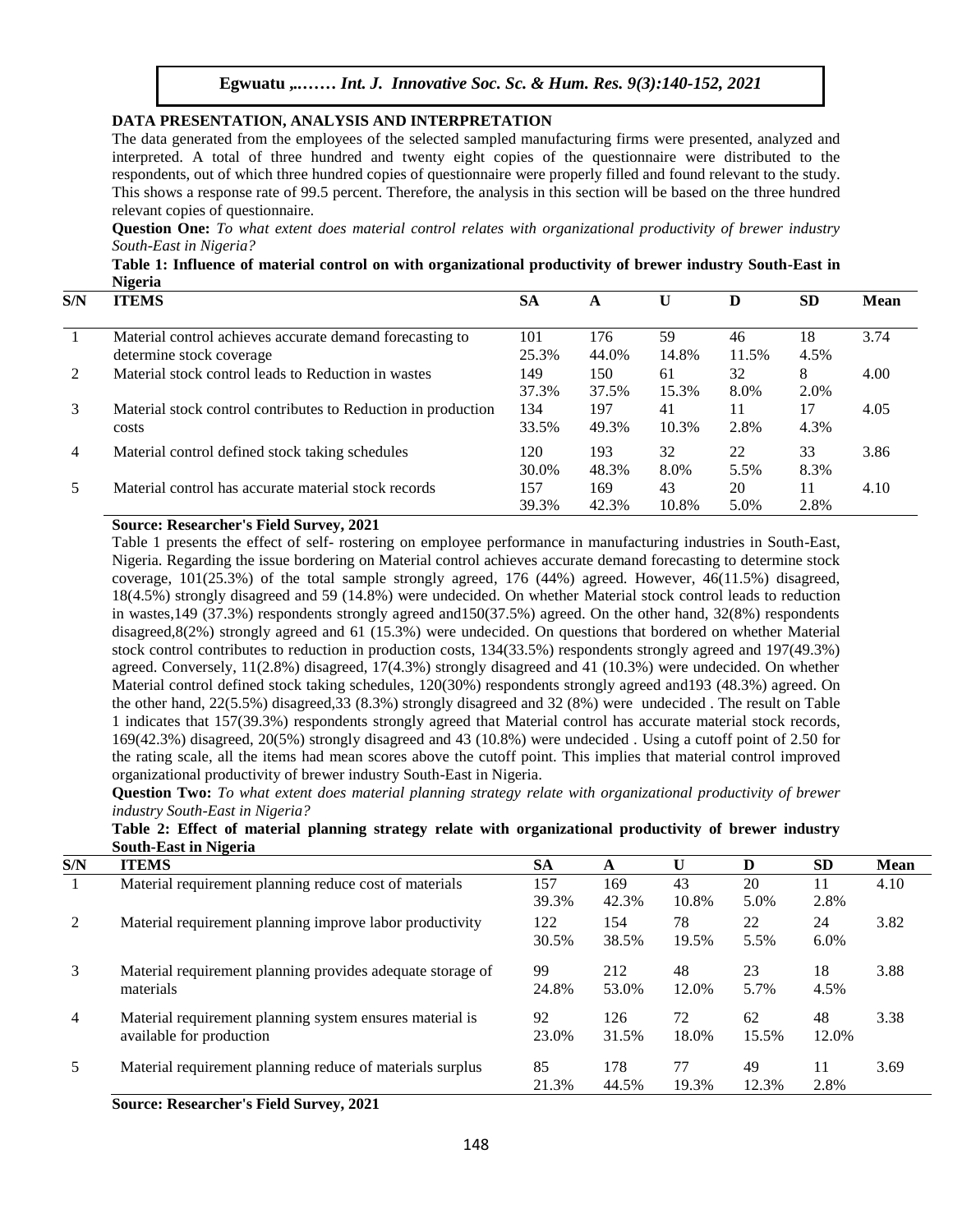#### **DATA PRESENTATION, ANALYSIS AND INTERPRETATION**

The data generated from the employees of the selected sampled manufacturing firms were presented, analyzed and interpreted. A total of three hundred and twenty eight copies of the questionnaire were distributed to the respondents, out of which three hundred copies of questionnaire were properly filled and found relevant to the study. This shows a response rate of 99.5 percent. Therefore, the analysis in this section will be based on the three hundred relevant copies of questionnaire.

**Question One:** *To what extent does material control relates with organizational productivity of brewer industry South-East in Nigeria?*

**Table 1: Influence of material control on with organizational productivity of brewer industry South-East in Nigeria**

|                | 115.                                                                                 |              |              |             |             |            |      |
|----------------|--------------------------------------------------------------------------------------|--------------|--------------|-------------|-------------|------------|------|
| S/N            | ITEMS                                                                                | <b>SA</b>    | A            | U           | D           | <b>SD</b>  | Mean |
|                | Material control achieves accurate demand forecasting to<br>determine stock coverage | 101<br>25.3% | 176<br>44.0% | 59<br>14.8% | 46<br>11.5% | 18<br>4.5% | 3.74 |
| 2              | Material stock control leads to Reduction in wastes                                  | 149<br>37.3% | 150<br>37.5% | 61<br>15.3% | 32<br>8.0%  | 8<br>2.0%  | 4.00 |
| 3              | Material stock control contributes to Reduction in production<br>costs               | 134<br>33.5% | 197<br>49.3% | 41<br>10.3% | 2.8%        | 17<br>4.3% | 4.05 |
| $\overline{4}$ | Material control defined stock taking schedules                                      | 120<br>30.0% | 193<br>48.3% | 32<br>8.0%  | 22<br>5.5%  | 33<br>8.3% | 3.86 |
|                | Material control has accurate material stock records                                 | 157<br>39.3% | 169<br>42.3% | 43<br>10.8% | 20<br>5.0%  | 2.8%       | 4.10 |

#### **Source: Researcher's Field Survey, 2021**

Table 1 presents the effect of self- rostering on employee performance in manufacturing industries in South-East, Nigeria. Regarding the issue bordering on Material control achieves accurate demand forecasting to determine stock coverage,  $101(25.3%)$  of the total sample strongly agreed,  $176$  (44%) agreed. However,  $46(11.5%)$  disagreed, 18(4.5%) strongly disagreed and 59 (14.8%) were undecided. On whether Material stock control leads to reduction in wastes,149 (37.3%) respondents strongly agreed and150(37.5%) agreed. On the other hand, 32(8%) respondents disagreed,8(2%) strongly agreed and 61 (15.3%) were undecided. On questions that bordered on whether Material stock control contributes to reduction in production costs, 134(33.5%) respondents strongly agreed and 197(49.3%) agreed. Conversely, 11(2.8%) disagreed, 17(4.3%) strongly disagreed and 41 (10.3%) were undecided. On whether Material control defined stock taking schedules, 120(30%) respondents strongly agreed and193 (48.3%) agreed. On the other hand, 22(5.5%) disagreed,33 (8.3%) strongly disagreed and 32 (8%) were undecided . The result on Table 1 indicates that 157(39.3%) respondents strongly agreed that Material control has accurate material stock records, 169(42.3%) disagreed, 20(5%) strongly disagreed and 43 (10.8%) were undecided . Using a cutoff point of 2.50 for the rating scale, all the items had mean scores above the cutoff point. This implies that material control improved organizational productivity of brewer industry South-East in Nigeria.

**Question Two:** *To what extent does material planning strategy relate with organizational productivity of brewer industry South-East in Nigeria?*

| Table 2: Effect of material planning strategy relate with organizational productivity of brewer industry |  |  |  |  |  |
|----------------------------------------------------------------------------------------------------------|--|--|--|--|--|
| South-East in Nigeria                                                                                    |  |  |  |  |  |

| S/N            | <b>ITEMS</b>                                                                         | <b>SA</b>    | A            | U           | D           | <b>SD</b>     | <b>Mean</b> |
|----------------|--------------------------------------------------------------------------------------|--------------|--------------|-------------|-------------|---------------|-------------|
|                | Material requirement planning reduce cost of materials                               | 157<br>39.3% | 169<br>42.3% | 43<br>10.8% | 20<br>5.0%  | 11<br>2.8%    | 4.10        |
| $\mathfrak{D}$ | Material requirement planning improve labor productivity                             | 122<br>30.5% | 154<br>38.5% | 78<br>19.5% | 22<br>5.5%  | 24<br>$6.0\%$ | 3.82        |
| 3              | Material requirement planning provides adequate storage of<br>materials              | 99<br>24.8%  | 212<br>53.0% | 48<br>12.0% | 23<br>5.7%  | 18<br>4.5%    | 3.88        |
| 4              | Material requirement planning system ensures material is<br>available for production | 92<br>23.0%  | 126<br>31.5% | 72<br>18.0% | 62<br>15.5% | 48<br>12.0%   | 3.38        |
|                | Material requirement planning reduce of materials surplus                            | 85<br>21.3%  | 178<br>44.5% | 77<br>19.3% | 49<br>12.3% | 11<br>2.8%    | 3.69        |

**Source: Researcher's Field Survey, 2021**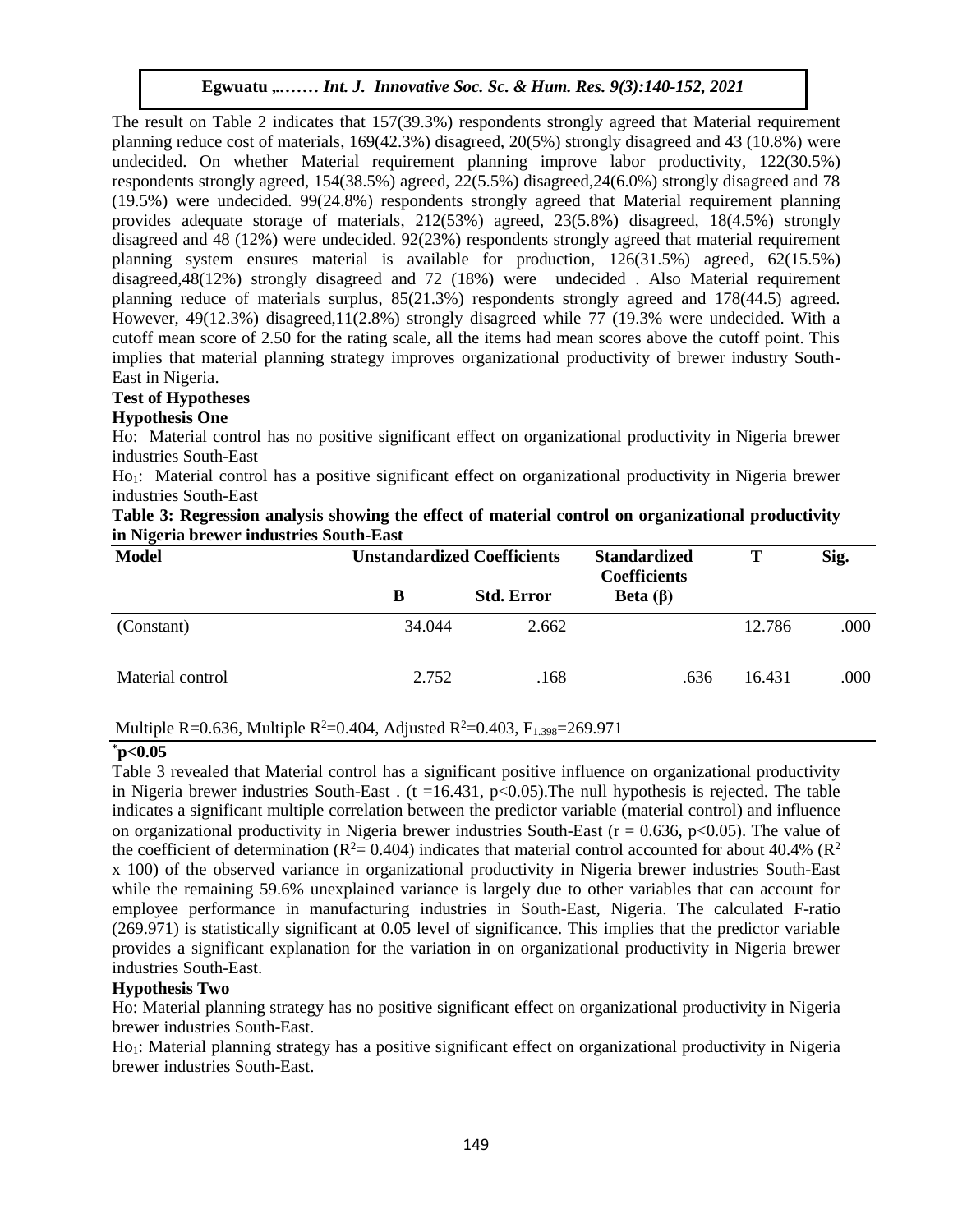The result on Table 2 indicates that 157(39.3%) respondents strongly agreed that Material requirement planning reduce cost of materials, 169(42.3%) disagreed, 20(5%) strongly disagreed and 43 (10.8%) were undecided. On whether Material requirement planning improve labor productivity, 122(30.5%) respondents strongly agreed, 154(38.5%) agreed, 22(5.5%) disagreed,24(6.0%) strongly disagreed and 78 (19.5%) were undecided. 99(24.8%) respondents strongly agreed that Material requirement planning provides adequate storage of materials, 212(53%) agreed, 23(5.8%) disagreed, 18(4.5%) strongly disagreed and 48 (12%) were undecided. 92(23%) respondents strongly agreed that material requirement planning system ensures material is available for production, 126(31.5%) agreed, 62(15.5%) disagreed,48(12%) strongly disagreed and 72 (18%) were undecided . Also Material requirement planning reduce of materials surplus, 85(21.3%) respondents strongly agreed and 178(44.5) agreed. However, 49(12.3%) disagreed,11(2.8%) strongly disagreed while 77 (19.3% were undecided. With a cutoff mean score of 2.50 for the rating scale, all the items had mean scores above the cutoff point. This implies that material planning strategy improves organizational productivity of brewer industry South-East in Nigeria.

# **Test of Hypotheses**

## **Hypothesis One**

Ho: Material control has no positive significant effect on organizational productivity in Nigeria brewer industries South-East

Ho1: Material control has a positive significant effect on organizational productivity in Nigeria brewer industries South-East

madstrics Soum-East<br>Table 3: Regression analysis showing the effect of material control on organizational productivity **in Nigeria brewer industries South-East** 

| <b>Model</b>     | <b>Unstandardized Coefficients</b> |                   | <b>Standardized</b><br><b>Coefficients</b> | Т      | Sig. |
|------------------|------------------------------------|-------------------|--------------------------------------------|--------|------|
|                  | в                                  | <b>Std. Error</b> | Beta $(\beta)$                             |        |      |
| (Constant)       | 34.044                             | 2.662             |                                            | 12.786 | .000 |
| Material control | 2.752                              | .168              | .636                                       | 16.431 | .000 |

# Multiple R=0.636, Multiple R<sup>2</sup>=0.404, Adjusted R<sup>2</sup>=0.403, F<sub>1.398</sub>=269.971

#### **\*p<0.05**

Table 3 revealed that Material control has a significant positive influence on organizational productivity in Nigeria brewer industries South-East . (t =16.431,  $p<0.05$ ). The null hypothesis is rejected. The table indicates a significant multiple correlation between the predictor variable (material control) and influence on organizational productivity in Nigeria brewer industries South-East ( $r = 0.636$ , p<0.05). The value of the coefficient of determination ( $R^2 = 0.404$ ) indicates that material control accounted for about 40.4% ( $R^2$ ) x 100) of the observed variance in organizational productivity in Nigeria brewer industries South-East while the remaining 59.6% unexplained variance is largely due to other variables that can account for employee performance in manufacturing industries in South-East, Nigeria. The calculated F-ratio (269.971) is statistically significant at 0.05 level of significance. This implies that the predictor variable provides a significant explanation for the variation in on organizational productivity in Nigeria brewer industries South-East.

# **Hypothesis Two**

Ho: Material planning strategy has no positive significant effect on organizational productivity in Nigeria brewer industries South-East.

Ho<sub>1</sub>: Material planning strategy has a positive significant effect on organizational productivity in Nigeria brewer industries South-East.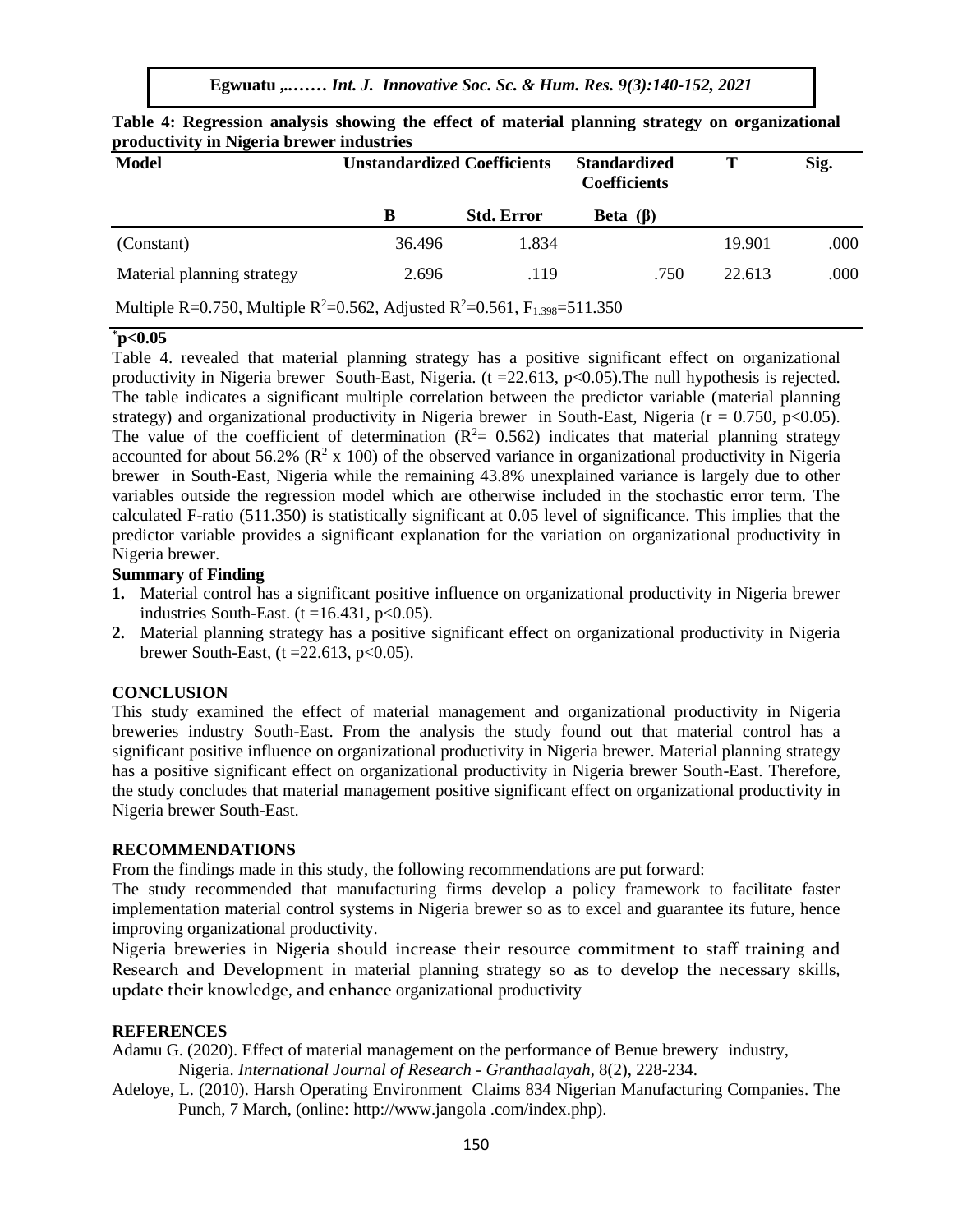| <b>Model</b>                                                                                                  | <b>Unstandardized Coefficients</b> |                   | <b>Standardized</b><br><b>Coefficients</b> | т      | Sig. |
|---------------------------------------------------------------------------------------------------------------|------------------------------------|-------------------|--------------------------------------------|--------|------|
|                                                                                                               | B                                  | <b>Std. Error</b> | Beta $(\beta)$                             |        |      |
| (Constant)                                                                                                    | 36.496                             | 1.834             |                                            | 19.901 | .000 |
| Material planning strategy                                                                                    | 2.696                              | .119              | .750                                       | 22.613 | .000 |
| Multiple R=0.750, Multiple R <sup>2</sup> =0.562, Adjusted R <sup>2</sup> =0.561, F <sub>1.398</sub> =511.350 |                                    |                   |                                            |        |      |

#### **Table 4: Regression analysis showing the effect of material planning strategy on organizational productivity in Nigeria brewer industries**

# **\*p<0.05**

Table 4. revealed that material planning strategy has a positive significant effect on organizational  $\sim$  Mum. Res. 8.8.  $\sim$  11, 2020. The Hum. Res. 8.8. The Hum. Res. 8.8. The Hum. Res. 8.8. The Hum. Res. 8.8. The Hum. productivity in Nigeria brewer South-East, Nigeria. ( $t = 22.613$ ,  $p < 0.05$ ). The null hypothesis is rejected. The table indicates a significant multiple correlation between the predictor variable (material planning strategy) and organizational productivity in Nigeria brewer in South-East, Nigeria ( $r = 0.750$ ,  $p < 0.05$ ). The value of the coefficient of determination ( $R<sup>2</sup> = 0.562$ ) indicates that material planning strategy accounted for about 56.2% ( $\mathbb{R}^2$  x 100) of the observed variance in organizational productivity in Nigeria brewer in South-East, Nigeria while the remaining 43.8% unexplained variance is largely due to other variables outside the regression model which are otherwise included in the stochastic error term. The variables butside the regression moder which are otherwise included in the stochastic error term. The calculated F-ratio (511.350) is statistically significant at 0.05 level of significance. This implies that the predictor variable provides a significant explanation for the variation on organizational productivity in Nigeria brewer.

# **Summary of Finding Archaeology 2018**

- **1.** Material control has a significant positive influence on organizational productivity in Nigeria brewer industries South-East. (t =16.431,  $p<0.05$ ).
- **2.** Material planning strategy has a positive significant effect on organizational productivity in Nigeria brewer South-East,  $(t = 22.613, p < 0.05)$ .

# **CONCLUSION**

This study examined the effect of material management and organizational productivity in Nigeria breweries industry South-East. From the analysis the study found out that material control has a significant positive influence on organizational productivity in Nigeria brewer. Material planning strategy has a positive significant effect on organizational productivity in Nigeria brewer South-East. Therefore, the study concludes that material management positive significant effect on organizational productivity in Nigeria brewer South-East.

#### **RECOMMENDATIONS**

From the findings made in this study, the following recommendations are put forward:

The study recommended that manufacturing firms develop a policy framework to facilitate faster implementation material control systems in Nigeria brewer so as to excel and guarantee its future, hence improving organizational productivity.

Nigeria breweries in Nigeria should increase their resource commitment to staff training and Research and Development in material planning strategy so as to develop the necessary skills, update their knowledge, and enhance organizational productivity

#### **REFERENCES**

Adamu G. (2020). Effect of material management on the performance of Benue brewery industry, Nigeria. *International Journal of Research - Granthaalayah,* 8(2), 228-234.

Adeloye, L. (2010). Harsh Operating Environment Claims 834 Nigerian Manufacturing Companies. The Punch, 7 March, (online: http://www.jangola .com/index.php).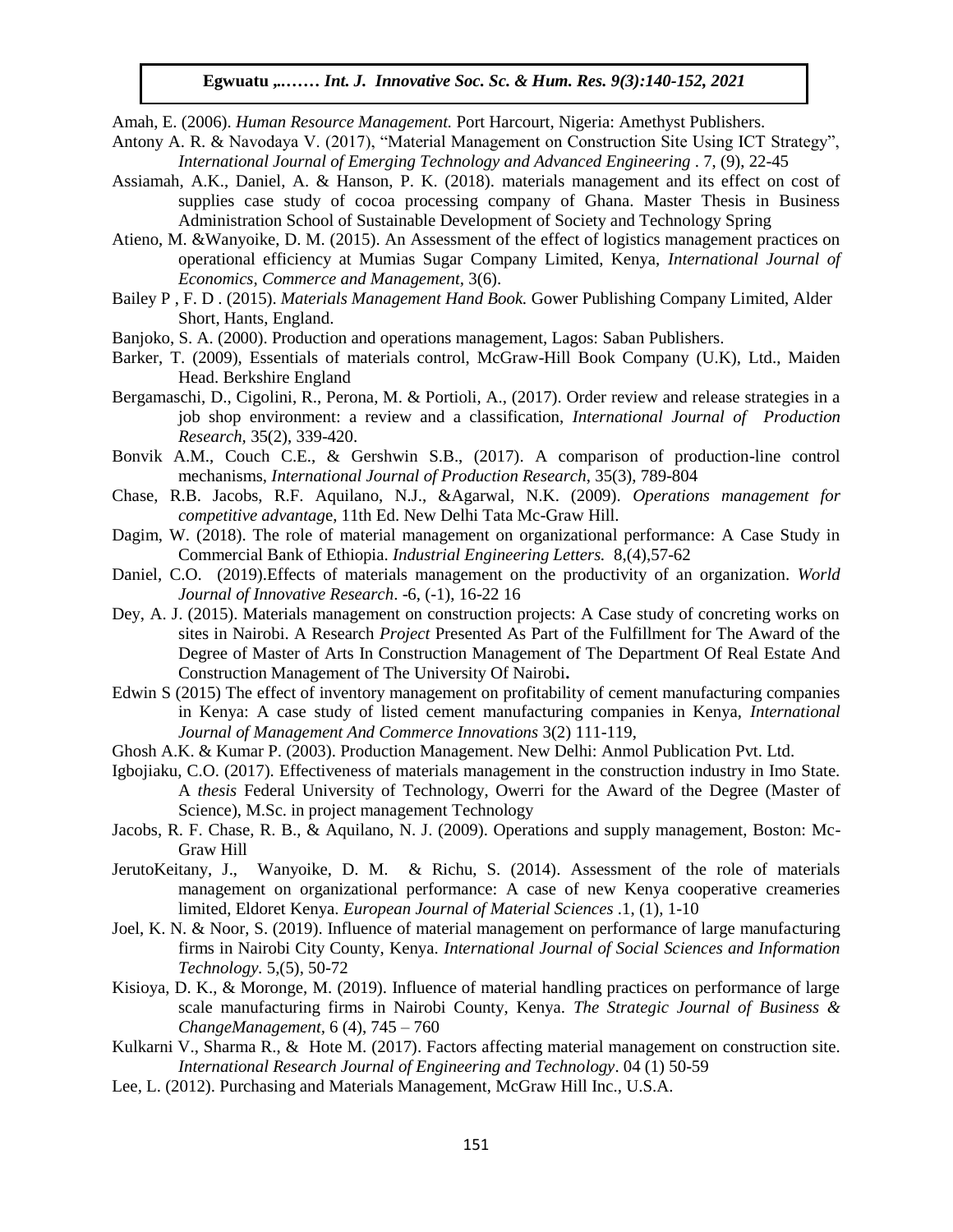Amah, E. (2006). *Human Resource Management.* Port Harcourt, Nigeria: Amethyst Publishers.

- Antony A. R. & Navodaya V. (2017), "Material Management on Construction Site Using ICT Strategy", *II. K. & Navodaya V.* (2017), Material Management on Construction Site Osing IC1 Superfunctional Journal of Emerging Technology and Advanced Engineering . 7, (9), 22-45
- Assiamah, A.K., Daniel, A. & Hanson, P. K. (2018). materials management and its effect on cost of supplies case study of cocoa processing company of Ghana. Master Thesis in Business Administration School of Sustainable Development of Society and Technology Spring
- Atieno, M. &Wanyoike, D. M. (2015). An Assessment of the effect of logistics management practices on operational efficiency at Mumias Sugar Company Limited, Kenya, *International Journal of Economics, Commerce and Management,* 3(6).
- Bailey P , F. D . (2015). *Materials Management Hand Book*. Gower Publishing Company Limited, Alder Short, Hants, England.
- Banjoko, S. A. (2000). Production and operations management, Lagos: Saban Publishers.
- Barker, T. (2009), Essentials of materials control, McGraw-Hill Book Company (U.K), Ltd., Maiden Head. Berkshire England
- Bergamaschi, D., Cigolini, R., Perona, M. & Portioli, A., (2017). Order review and release strategies in a job shop environment: a review and a classification, *International Journal of Production Research*, 35(2), 339-420.
- Bonvik A.M., Couch C.E., & Gershwin S.B., (2017). A comparison of production-line control mechanisms, *International Journal of Production Research*, 35(3), 789-804
- Chase, R.B. Jacobs, R.F. Aquilano, N.J., & Agarwal, N.K. (2009). Operations management for *competitive advantag*e, 11th Ed. New Delhi Tata Mc-Graw Hill.
- Dagim, W. (2018). The role of material management on organizational performance: A Case Study in Commercial Bank of Ethiopia. *Industrial Engineering Letters.* 8,(4),57-62
- Daniel, C.O. (2019). Effects of materials management on the productivity of an organization. World *Journal of Innovative Research*. -6, (-1), 16-22 16
- Dey, A. J. (2015). Materials management on construction projects: A Case study of concreting works on sites in Nairobi. A Research *Project* Presented As Part of the Fulfillment for The Award of the Degree of Master of Arts In Construction Management of The Department Of Real Estate And Construction Management of The University Of Nairobi**.**
- Edwin S (2015) The effect of inventory management on profitability of cement manufacturing companies in Kenya: A case study of listed cement manufacturing companies in Kenya, *International Journal of Management And Commerce Innovations* 3(2) 111-119,
- Ghosh A.K. & Kumar P. (2003). Production Management. New Delhi: Anmol Publication Pvt. Ltd.
- Igbojiaku, C.O. (2017). Effectiveness of materials management in the construction industry in Imo State. A *thesis* Federal University of Technology, Owerri for the Award of the Degree (Master of Science), M.Sc. in project management Technology
- Jacobs, R. F. Chase, R. B., & Aquilano, N. J. (2009). Operations and supply management, Boston: Mc-Graw Hill
- JerutoKeitany, J., Wanyoike, D. M. & Richu, S. (2014). Assessment of the role of materials management on organizational performance: A case of new Kenya cooperative creameries limited, Eldoret Kenya. *European Journal of Material Sciences* .1, (1), 1-10
- Joel, K. N. & Noor, S. (2019). Influence of material management on performance of large manufacturing firms in Nairobi City County, Kenya. *International Journal of Social Sciences and Information Technology.* 5,(5), 50-72
- Kisioya, D. K., & Moronge, M. (2019). Influence of material handling practices on performance of large scale manufacturing firms in Nairobi County, Kenya. *The Strategic Journal of Business & ChangeManagement,* 6 (4), 745 – 760
- Kulkarni V., Sharma R., & Hote M. (2017). Factors affecting material management on construction site. *International Research Journal of Engineering and Technology*. 04 (1) 50-59
- Lee, L. (2012). Purchasing and Materials Management, McGraw Hill Inc., U.S.A.